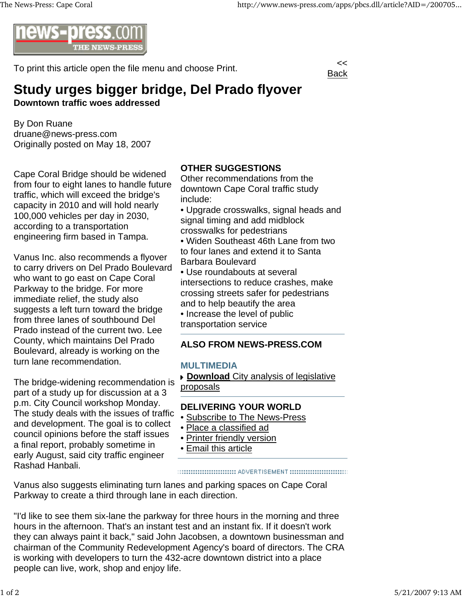

To print this article open the file menu and choose Print.



# **Study urges bigger bridge, Del Prado flyover Downtown traffic woes addressed**

By Don Ruane druane@news-press.com Originally posted on May 18, 2007

Cape Coral Bridge should be widened from four to eight lanes to handle future traffic, which will exceed the bridge's capacity in 2010 and will hold nearly 100,000 vehicles per day in 2030, according to a transportation engineering firm based in Tampa.

Vanus Inc. also recommends a flyover to carry drivers on Del Prado Boulevard who want to go east on Cape Coral Parkway to the bridge. For more immediate relief, the study also suggests a left turn toward the bridge from three lanes of southbound Del Prado instead of the current two. Lee County, which maintains Del Prado Boulevard, already is working on the turn lane recommendation.

The bridge-widening recommendation is part of a study up for discussion at a 3 p.m. City Council workshop Monday. The study deals with the issues of traffic and development. The goal is to collect council opinions before the staff issues a final report, probably sometime in early August, said city traffic engineer Rashad Hanbali.

## **OTHER SUGGESTIONS**

Other recommendations from the downtown Cape Coral traffic study include:

• Upgrade crosswalks, signal heads and signal timing and add midblock crosswalks for pedestrians

• Widen Southeast 46th Lane from two to four lanes and extend it to Santa Barbara Boulevard

• Use roundabouts at several intersections to reduce crashes, make crossing streets safer for pedestrians and to help beautify the area • Increase the level of public transportation service

## **ALSO FROM NEWS-PRESS.COM**

### **MULTIMEDIA**

**Download** City analysis of legislative proposals

## **DELIVERING YOUR WORLD**

- Subscribe to The News-Press
- Place a classified ad
- Printer friendly version
- Email this article

#### ::::::::::::::::::::::::::::::: ADVERTISEMENT :::::::::::::::::::::::::::::::::

Vanus also suggests eliminating turn lanes and parking spaces on Cape Coral Parkway to create a third through lane in each direction.

"I'd like to see them six-lane the parkway for three hours in the morning and three hours in the afternoon. That's an instant test and an instant fix. If it doesn't work they can always paint it back," said John Jacobsen, a downtown businessman and chairman of the Community Redevelopment Agency's board of directors. The CRA is working with developers to turn the 432-acre downtown district into a place people can live, work, shop and enjoy life.